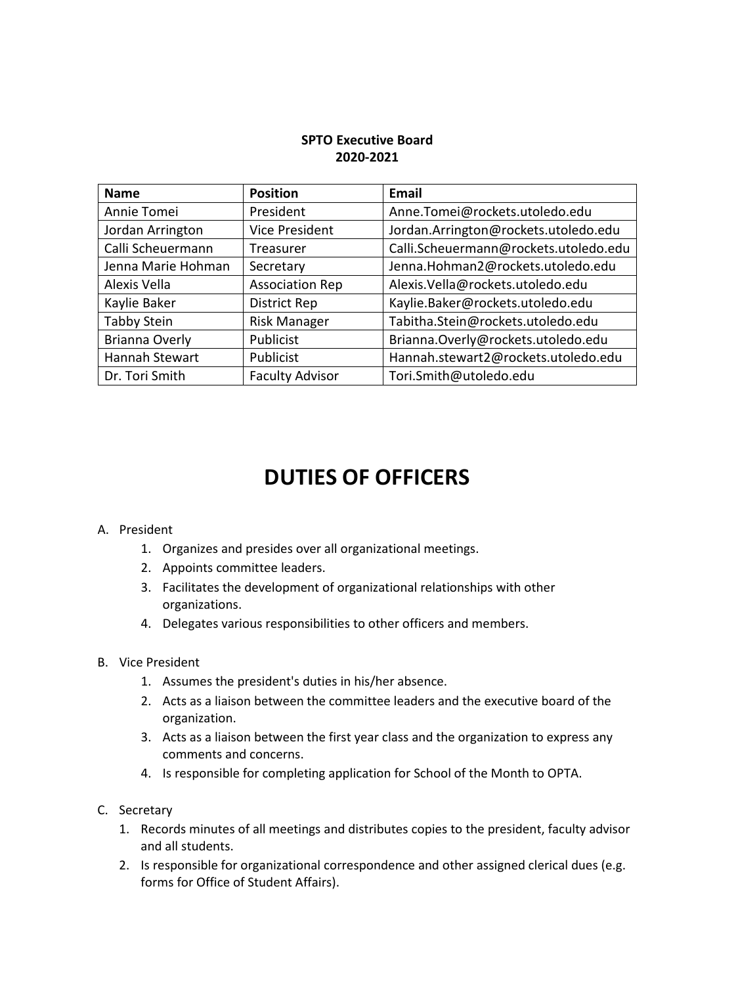## **SPTO Executive Board 2020-2021**

| <b>Name</b>        | <b>Position</b>        | <b>Email</b>                          |
|--------------------|------------------------|---------------------------------------|
| Annie Tomei        | President              | Anne.Tomei@rockets.utoledo.edu        |
| Jordan Arrington   | <b>Vice President</b>  | Jordan.Arrington@rockets.utoledo.edu  |
| Calli Scheuermann  | Treasurer              | Calli.Scheuermann@rockets.utoledo.edu |
| Jenna Marie Hohman | Secretary              | Jenna.Hohman2@rockets.utoledo.edu     |
| Alexis Vella       | <b>Association Rep</b> | Alexis.Vella@rockets.utoledo.edu      |
| Kaylie Baker       | <b>District Rep</b>    | Kaylie.Baker@rockets.utoledo.edu      |
| <b>Tabby Stein</b> | <b>Risk Manager</b>    | Tabitha.Stein@rockets.utoledo.edu     |
| Brianna Overly     | Publicist              | Brianna.Overly@rockets.utoledo.edu    |
| Hannah Stewart     | Publicist              | Hannah.stewart2@rockets.utoledo.edu   |
| Dr. Tori Smith     | <b>Faculty Advisor</b> | Tori.Smith@utoledo.edu                |

## **DUTIES OF OFFICERS**

## A. President

- 1. Organizes and presides over all organizational meetings.
- 2. Appoints committee leaders.
- 3. Facilitates the development of organizational relationships with other organizations.
- 4. Delegates various responsibilities to other officers and members.
- B. Vice President
	- 1. Assumes the president's duties in his/her absence.
	- 2. Acts as a liaison between the committee leaders and the executive board of the organization.
	- 3. Acts as a liaison between the first year class and the organization to express any comments and concerns.
	- 4. Is responsible for completing application for School of the Month to OPTA.
- C. Secretary
	- 1. Records minutes of all meetings and distributes copies to the president, faculty advisor and all students.
	- 2. Is responsible for organizational correspondence and other assigned clerical dues (e.g. forms for Office of Student Affairs).